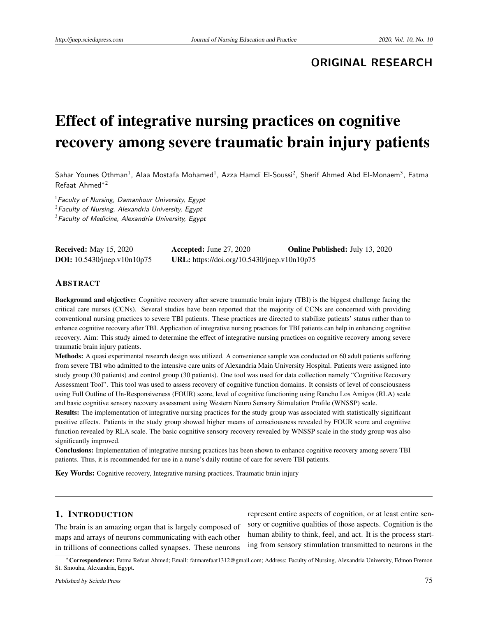# **ORIGINAL RESEARCH**

# Effect of integrative nursing practices on cognitive recovery among severe traumatic brain injury patients

Sahar Younes Othman<sup>1</sup>, Alaa Mostafa Mohamed<sup>1</sup>, Azza Hamdi El-Soussi<sup>2</sup>, Sherif Ahmed Abd El-Monaem<sup>3</sup>, Fatma Refaat Ahmed∗<sup>2</sup>

 $<sup>1</sup>$  Faculty of Nursing, Damanhour University, Egypt</sup>  $2F$ aculty of Nursing, Alexandria University, Egypt  $3$ Faculty of Medicine, Alexandria University, Egypt

| <b>Received:</b> May 15, 2020         | Accepted: June $27, 2020$                   | <b>Online Published:</b> July 13, 2020 |
|---------------------------------------|---------------------------------------------|----------------------------------------|
| <b>DOI:</b> $10.5430$ /jnep.v10n10p75 | URL: https://doi.org/10.5430/jnep.v10n10p75 |                                        |

#### ABSTRACT

Background and objective: Cognitive recovery after severe traumatic brain injury (TBI) is the biggest challenge facing the critical care nurses (CCNs). Several studies have been reported that the majority of CCNs are concerned with providing conventional nursing practices to severe TBI patients. These practices are directed to stabilize patients' status rather than to enhance cognitive recovery after TBI. Application of integrative nursing practices for TBI patients can help in enhancing cognitive recovery. Aim: This study aimed to determine the effect of integrative nursing practices on cognitive recovery among severe traumatic brain injury patients.

Methods: A quasi experimental research design was utilized. A convenience sample was conducted on 60 adult patients suffering from severe TBI who admitted to the intensive care units of Alexandria Main University Hospital. Patients were assigned into study group (30 patients) and control group (30 patients). One tool was used for data collection namely "Cognitive Recovery Assessment Tool". This tool was used to assess recovery of cognitive function domains. It consists of level of consciousness using Full Outline of Un-Responsiveness (FOUR) score, level of cognitive functioning using Rancho Los Amigos (RLA) scale and basic cognitive sensory recovery assessment using Western Neuro Sensory Stimulation Profile (WNSSP) scale.

Results: The implementation of integrative nursing practices for the study group was associated with statistically significant positive effects. Patients in the study group showed higher means of consciousness revealed by FOUR score and cognitive function revealed by RLA scale. The basic cognitive sensory recovery revealed by WNSSP scale in the study group was also significantly improved.

Conclusions: Implementation of integrative nursing practices has been shown to enhance cognitive recovery among severe TBI patients. Thus, it is recommended for use in a nurse's daily routine of care for severe TBI patients.

Key Words: Cognitive recovery, Integrative nursing practices, Traumatic brain injury

#### 1. INTRODUCTION

The brain is an amazing organ that is largely composed of maps and arrays of neurons communicating with each other in trillions of connections called synapses. These neurons

represent entire aspects of cognition, or at least entire sensory or cognitive qualities of those aspects. Cognition is the human ability to think, feel, and act. It is the process starting from sensory stimulation transmitted to neurons in the

<sup>∗</sup>Correspondence: Fatma Refaat Ahmed; Email: fatmarefaat1312@gmail.com; Address: Faculty of Nursing, Alexandria University, Edmon Fremon St. Smouha, Alexandria, Egypt.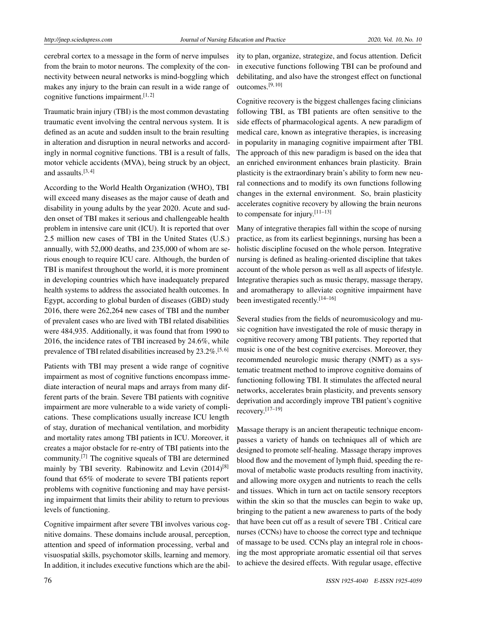cerebral cortex to a message in the form of nerve impulses from the brain to motor neurons. The complexity of the connectivity between neural networks is mind-boggling which makes any injury to the brain can result in a wide range of cognitive functions impairment.  $[1, 2]$  $[1, 2]$  $[1, 2]$ 

Traumatic brain injury (TBI) is the most common devastating traumatic event involving the central nervous system. It is defined as an acute and sudden insult to the brain resulting in alteration and disruption in neural networks and accordingly in normal cognitive functions. TBI is a result of falls, motor vehicle accidents (MVA), being struck by an object, and assaults. $[3, 4]$  $[3, 4]$  $[3, 4]$ 

According to the World Health Organization (WHO), TBI will exceed many diseases as the major cause of death and disability in young adults by the year 2020. Acute and sudden onset of TBI makes it serious and challengeable health problem in intensive care unit (ICU). It is reported that over 2.5 million new cases of TBI in the United States (U.S.) annually, with 52,000 deaths, and 235,000 of whom are serious enough to require ICU care. Although, the burden of TBI is manifest throughout the world, it is more prominent in developing countries which have inadequately prepared health systems to address the associated health outcomes. In Egypt, according to global burden of diseases (GBD) study 2016, there were 262,264 new cases of TBI and the number of prevalent cases who are lived with TBI related disabilities were 484,935. Additionally, it was found that from 1990 to 2016, the incidence rates of TBI increased by 24.6%, while prevalence of TBI related disabilities increased by 23.2%.[\[5,](#page-12-4) [6\]](#page-12-5)

Patients with TBI may present a wide range of cognitive impairment as most of cognitive functions encompass immediate interaction of neural maps and arrays from many different parts of the brain. Severe TBI patients with cognitive impairment are more vulnerable to a wide variety of complications. These complications usually increase ICU length of stay, duration of mechanical ventilation, and morbidity and mortality rates among TBI patients in ICU. Moreover, it creates a major obstacle for re-entry of TBI patients into the community.[\[7\]](#page-12-6) The cognitive squeals of TBI are determined mainly by TBI severity. Rabinowitz and Levin (2014)<sup>[\[8\]](#page-12-7)</sup> found that 65% of moderate to severe TBI patients report problems with cognitive functioning and may have persisting impairment that limits their ability to return to previous levels of functioning.

Cognitive impairment after severe TBI involves various cognitive domains. These domains include arousal, perception, attention and speed of information processing, verbal and visuospatial skills, psychomotor skills, learning and memory. In addition, it includes executive functions which are the ability to plan, organize, strategize, and focus attention. Deficit in executive functions following TBI can be profound and debilitating, and also have the strongest effect on functional outcomes.[\[9,](#page-12-8) [10\]](#page-12-9)

Cognitive recovery is the biggest challenges facing clinicians following TBI, as TBI patients are often sensitive to the side effects of pharmacological agents. A new paradigm of medical care, known as integrative therapies, is increasing in popularity in managing cognitive impairment after TBI. The approach of this new paradigm is based on the idea that an enriched environment enhances brain plasticity. Brain plasticity is the extraordinary brain's ability to form new neural connections and to modify its own functions following changes in the external environment. So, brain plasticity accelerates cognitive recovery by allowing the brain neurons to compensate for injury.[\[11](#page-12-10)[–13\]](#page-12-11)

Many of integrative therapies fall within the scope of nursing practice, as from its earliest beginnings, nursing has been a holistic discipline focused on the whole person. Integrative nursing is defined as healing-oriented discipline that takes account of the whole person as well as all aspects of lifestyle. Integrative therapies such as music therapy, massage therapy, and aromatherapy to alleviate cognitive impairment have been investigated recently.<sup>[\[14–](#page-12-12)[16\]](#page-13-0)</sup>

Several studies from the fields of neuromusicology and music cognition have investigated the role of music therapy in cognitive recovery among TBI patients. They reported that music is one of the best cognitive exercises. Moreover, they recommended neurologic music therapy (NMT) as a systematic treatment method to improve cognitive domains of functioning following TBI. It stimulates the affected neural networks, accelerates brain plasticity, and prevents sensory deprivation and accordingly improve TBI patient's cognitive recovery.[\[17–](#page-13-1)[19\]](#page-13-2)

Massage therapy is an ancient therapeutic technique encompasses a variety of hands on techniques all of which are designed to promote self-healing. Massage therapy improves blood flow and the movement of lymph fluid, speeding the removal of metabolic waste products resulting from inactivity, and allowing more oxygen and nutrients to reach the cells and tissues. Which in turn act on tactile sensory receptors within the skin so that the muscles can begin to wake up, bringing to the patient a new awareness to parts of the body that have been cut off as a result of severe TBI . Critical care nurses (CCNs) have to choose the correct type and technique of massage to be used. CCNs play an integral role in choosing the most appropriate aromatic essential oil that serves to achieve the desired effects. With regular usage, effective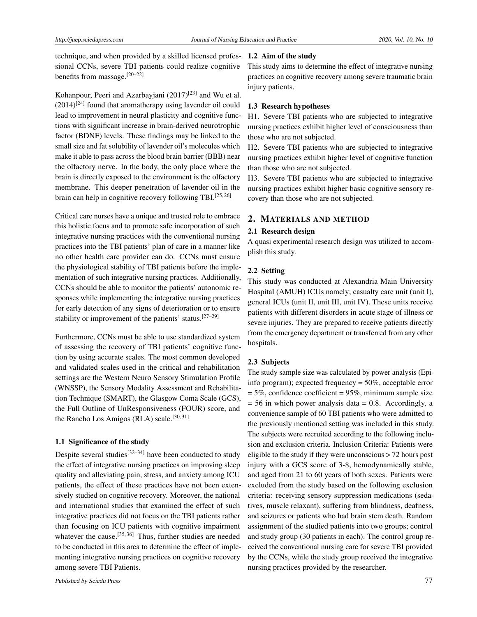technique, and when provided by a skilled licensed professional CCNs, severe TBI patients could realize cognitive benefits from massage.[\[20–](#page-13-3)[22\]](#page-13-4)

Kohanpour, Peeri and Azarbayjani (2017)<sup>[\[23\]](#page-13-5)</sup> and Wu et al.  $(2014)^{[24]}$  $(2014)^{[24]}$  $(2014)^{[24]}$  found that aromatherapy using lavender oil could lead to improvement in neural plasticity and cognitive functions with significant increase in brain-derived neurotrophic factor (BDNF) levels. These findings may be linked to the small size and fat solubility of lavender oil's molecules which make it able to pass across the blood brain barrier (BBB) near the olfactory nerve. In the body, the only place where the brain is directly exposed to the environment is the olfactory membrane. This deeper penetration of lavender oil in the brain can help in cognitive recovery following TBI.<sup>[\[25,](#page-13-7)[26\]](#page-13-8)</sup>

Critical care nurses have a unique and trusted role to embrace this holistic focus and to promote safe incorporation of such integrative nursing practices with the conventional nursing practices into the TBI patients' plan of care in a manner like no other health care provider can do. CCNs must ensure the physiological stability of TBI patients before the implementation of such integrative nursing practices. Additionally, CCNs should be able to monitor the patients' autonomic responses while implementing the integrative nursing practices for early detection of any signs of deterioration or to ensure stability or improvement of the patients' status.[\[27](#page-13-9)[–29\]](#page-13-10)

Furthermore, CCNs must be able to use standardized system of assessing the recovery of TBI patients' cognitive function by using accurate scales. The most common developed and validated scales used in the critical and rehabilitation settings are the Western Neuro Sensory Stimulation Profile (WNSSP), the Sensory Modality Assessment and Rehabilitation Technique (SMART), the Glasgow Coma Scale (GCS), the Full Outline of UnResponsiveness (FOUR) score, and the Rancho Los Amigos (RLA) scale.<sup>[\[30,](#page-13-11) [31\]](#page-13-12)</sup>

### 1.1 Significance of the study

Despite several studies<sup>[\[32](#page-13-13)[–34\]](#page-13-14)</sup> have been conducted to study the effect of integrative nursing practices on improving sleep quality and alleviating pain, stress, and anxiety among ICU patients, the effect of these practices have not been extensively studied on cognitive recovery. Moreover, the national and international studies that examined the effect of such integrative practices did not focus on the TBI patients rather than focusing on ICU patients with cognitive impairment whatever the cause.<sup>[\[35,](#page-13-15) [36\]](#page-13-16)</sup> Thus, further studies are needed to be conducted in this area to determine the effect of implementing integrative nursing practices on cognitive recovery among severe TBI Patients.

#### 1.2 Aim of the study

This study aims to determine the effect of integrative nursing practices on cognitive recovery among severe traumatic brain injury patients.

#### 1.3 Research hypotheses

H1. Severe TBI patients who are subjected to integrative nursing practices exhibit higher level of consciousness than those who are not subjected.

H2. Severe TBI patients who are subjected to integrative nursing practices exhibit higher level of cognitive function than those who are not subjected.

H3. Severe TBI patients who are subjected to integrative nursing practices exhibit higher basic cognitive sensory recovery than those who are not subjected.

#### 2. MATERIALS AND METHOD

# 2.1 Research design

A quasi experimental research design was utilized to accomplish this study.

#### 2.2 Setting

This study was conducted at Alexandria Main University Hospital (AMUH) ICUs namely; casualty care unit (unit I), general ICUs (unit II, unit III, unit IV). These units receive patients with different disorders in acute stage of illness or severe injuries. They are prepared to receive patients directly from the emergency department or transferred from any other hospitals.

# 2.3 Subjects

The study sample size was calculated by power analysis (Epiinfo program); expected frequency = 50%, acceptable error  $= 5\%$ , confidence coefficient  $= 95\%$ , minimum sample size  $= 56$  in which power analysis data  $= 0.8$ . Accordingly, a convenience sample of 60 TBI patients who were admitted to the previously mentioned setting was included in this study. The subjects were recruited according to the following inclusion and exclusion criteria. Inclusion Criteria: Patients were eligible to the study if they were unconscious > 72 hours post injury with a GCS score of 3-8, hemodynamically stable, and aged from 21 to 60 years of both sexes. Patients were excluded from the study based on the following exclusion criteria: receiving sensory suppression medications (sedatives, muscle relaxant), suffering from blindness, deafness, and seizures or patients who had brain stem death. Random assignment of the studied patients into two groups; control and study group (30 patients in each). The control group received the conventional nursing care for severe TBI provided by the CCNs, while the study group received the integrative nursing practices provided by the researcher.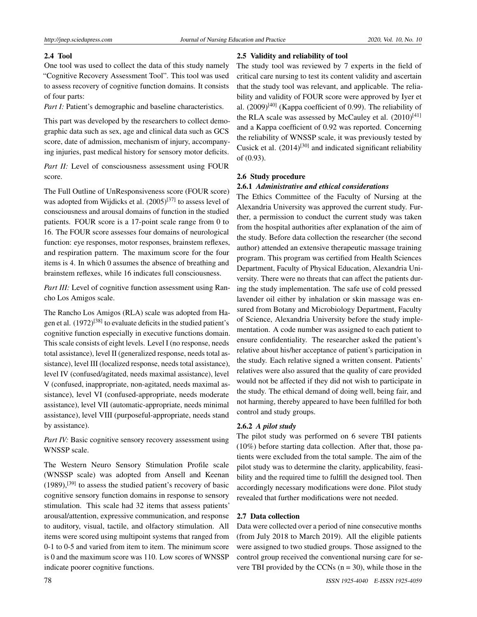#### 2.4 Tool

One tool was used to collect the data of this study namely "Cognitive Recovery Assessment Tool". This tool was used to assess recovery of cognitive function domains. It consists of four parts:

*Part I:* Patient's demographic and baseline characteristics.

This part was developed by the researchers to collect demographic data such as sex, age and clinical data such as GCS score, date of admission, mechanism of injury, accompanying injuries, past medical history for sensory motor deficits.

*Part II:* Level of consciousness assessment using FOUR score.

The Full Outline of UnResponsiveness score (FOUR score) was adopted from Wijdicks et al.  $(2005)^{[37]}$  $(2005)^{[37]}$  $(2005)^{[37]}$  to assess level of consciousness and arousal domains of function in the studied patients. FOUR score is a 17-point scale range from 0 to 16. The FOUR score assesses four domains of neurological function: eye responses, motor responses, brainstem reflexes, and respiration pattern. The maximum score for the four items is 4. In which 0 assumes the absence of breathing and brainstem reflexes, while 16 indicates full consciousness.

*Part III:* Level of cognitive function assessment using Rancho Los Amigos scale.

The Rancho Los Amigos (RLA) scale was adopted from Ha-gen et al. (1972)<sup>[\[38\]](#page-13-18)</sup> to evaluate deficits in the studied patient's cognitive function especially in executive functions domain. This scale consists of eight levels. Level I (no response, needs total assistance), level II (generalized response, needs total assistance), level III (localized response, needs total assistance), level IV (confused/agitated, needs maximal assistance), level V (confused, inappropriate, non-agitated, needs maximal assistance), level VI (confused-appropriate, needs moderate assistance), level VII (automatic-appropriate, needs minimal assistance), level VIII (purposeful-appropriate, needs stand by assistance).

*Part IV:* Basic cognitive sensory recovery assessment using WNSSP scale.

The Western Neuro Sensory Stimulation Profile scale (WNSSP scale) was adopted from Ansell and Keenan  $(1989)$ ,<sup>[\[39\]](#page-13-19)</sup> to assess the studied patient's recovery of basic cognitive sensory function domains in response to sensory stimulation. This scale had 32 items that assess patients' arousal/attention, expressive communication, and response to auditory, visual, tactile, and olfactory stimulation. All items were scored using multipoint systems that ranged from 0-1 to 0-5 and varied from item to item. The minimum score is 0 and the maximum score was 110. Low scores of WNSSP indicate poorer cognitive functions.

#### 2.5 Validity and reliability of tool

The study tool was reviewed by 7 experts in the field of critical care nursing to test its content validity and ascertain that the study tool was relevant, and applicable. The reliability and validity of FOUR score were approved by Iyer et al. (2009)<sup>[\[40\]](#page-13-20)</sup> (Kappa coefficient of 0.99). The reliability of the RLA scale was assessed by McCauley et al.  $(2010)^{[41]}$  $(2010)^{[41]}$  $(2010)^{[41]}$ and a Kappa coefficient of 0.92 was reported. Concerning the reliability of WNSSP scale, it was previously tested by Cusick et al.  $(2014)^{[30]}$  $(2014)^{[30]}$  $(2014)^{[30]}$  and indicated significant reliability of (0.93).

#### 2.6 Study procedure

#### 2.6.1 *Administrative and ethical considerations*

The Ethics Committee of the Faculty of Nursing at the Alexandria University was approved the current study. Further, a permission to conduct the current study was taken from the hospital authorities after explanation of the aim of the study. Before data collection the researcher (the second author) attended an extensive therapeutic massage training program. This program was certified from Health Sciences Department, Faculty of Physical Education, Alexandria University. There were no threats that can affect the patients during the study implementation. The safe use of cold pressed lavender oil either by inhalation or skin massage was ensured from Botany and Microbiology Department, Faculty of Science, Alexandria University before the study implementation. A code number was assigned to each patient to ensure confidentiality. The researcher asked the patient's relative about his/her acceptance of patient's participation in the study. Each relative signed a written consent. Patients' relatives were also assured that the quality of care provided would not be affected if they did not wish to participate in the study. The ethical demand of doing well, being fair, and not harming, thereby appeared to have been fulfilled for both control and study groups.

#### 2.6.2 *A pilot study*

The pilot study was performed on 6 severe TBI patients (10%) before starting data collection. After that, those patients were excluded from the total sample. The aim of the pilot study was to determine the clarity, applicability, feasibility and the required time to fulfill the designed tool. Then accordingly necessary modifications were done. Pilot study revealed that further modifications were not needed.

#### 2.7 Data collection

Data were collected over a period of nine consecutive months (from July 2018 to March 2019). All the eligible patients were assigned to two studied groups. Those assigned to the control group received the conventional nursing care for severe TBI provided by the CCNs  $(n = 30)$ , while those in the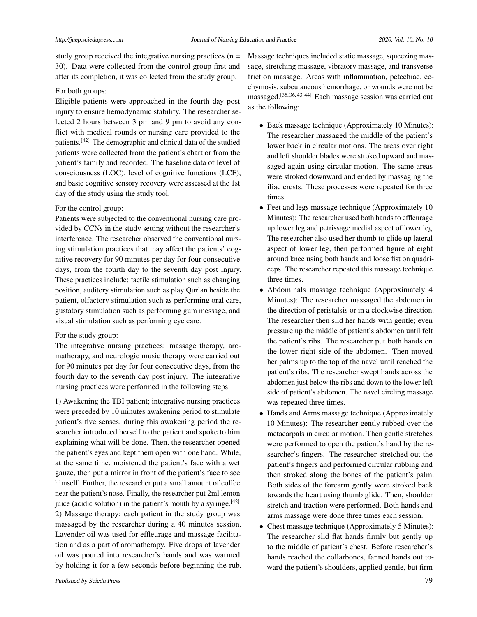study group received the integrative nursing practices  $(n =$ 30). Data were collected from the control group first and after its completion, it was collected from the study group.

#### For both groups:

Eligible patients were approached in the fourth day post injury to ensure hemodynamic stability. The researcher selected 2 hours between 3 pm and 9 pm to avoid any conflict with medical rounds or nursing care provided to the patients.[\[42\]](#page-13-22) The demographic and clinical data of the studied patients were collected from the patient's chart or from the patient's family and recorded. The baseline data of level of consciousness (LOC), level of cognitive functions (LCF), and basic cognitive sensory recovery were assessed at the 1st day of the study using the study tool.

#### For the control group:

Patients were subjected to the conventional nursing care provided by CCNs in the study setting without the researcher's interference. The researcher observed the conventional nursing stimulation practices that may affect the patients' cognitive recovery for 90 minutes per day for four consecutive days, from the fourth day to the seventh day post injury. These practices include: tactile stimulation such as changing position, auditory stimulation such as play Qur'an beside the patient, olfactory stimulation such as performing oral care, gustatory stimulation such as performing gum message, and visual stimulation such as performing eye care.

#### For the study group:

The integrative nursing practices; massage therapy, aromatherapy, and neurologic music therapy were carried out for 90 minutes per day for four consecutive days, from the fourth day to the seventh day post injury. The integrative nursing practices were performed in the following steps:

1) Awakening the TBI patient; integrative nursing practices were preceded by 10 minutes awakening period to stimulate patient's five senses, during this awakening period the researcher introduced herself to the patient and spoke to him explaining what will be done. Then, the researcher opened the patient's eyes and kept them open with one hand. While, at the same time, moistened the patient's face with a wet gauze, then put a mirror in front of the patient's face to see himself. Further, the researcher put a small amount of coffee near the patient's nose. Finally, the researcher put 2ml lemon juice (acidic solution) in the patient's mouth by a syringe.  $[42]$ 2) Massage therapy; each patient in the study group was massaged by the researcher during a 40 minutes session. Lavender oil was used for effleurage and massage facilitation and as a part of aromatherapy. Five drops of lavender oil was poured into researcher's hands and was warmed by holding it for a few seconds before beginning the rub. Massage techniques included static massage, squeezing massage, stretching massage, vibratory massage, and transverse friction massage. Areas with inflammation, petechiae, ecchymosis, subcutaneous hemorrhage, or wounds were not be massaged.[\[35,](#page-13-15) [36,](#page-13-16) [43,](#page-13-23) [44\]](#page-14-0) Each massage session was carried out as the following:

- Back massage technique (Approximately 10 Minutes): The researcher massaged the middle of the patient's lower back in circular motions. The areas over right and left shoulder blades were stroked upward and massaged again using circular motion. The same areas were stroked downward and ended by massaging the iliac crests. These processes were repeated for three times.
- Feet and legs massage technique (Approximately 10) Minutes): The researcher used both hands to effleurage up lower leg and petrissage medial aspect of lower leg. The researcher also used her thumb to glide up lateral aspect of lower leg, then performed figure of eight around knee using both hands and loose fist on quadriceps. The researcher repeated this massage technique three times.
- Abdominals massage technique (Approximately 4 Minutes): The researcher massaged the abdomen in the direction of peristalsis or in a clockwise direction. The researcher then slid her hands with gentle; even pressure up the middle of patient's abdomen until felt the patient's ribs. The researcher put both hands on the lower right side of the abdomen. Then moved her palms up to the top of the navel until reached the patient's ribs. The researcher swept hands across the abdomen just below the ribs and down to the lower left side of patient's abdomen. The navel circling massage was repeated three times.
- Hands and Arms massage technique (Approximately 10 Minutes): The researcher gently rubbed over the metacarpals in circular motion. Then gentle stretches were performed to open the patient's hand by the researcher's fingers. The researcher stretched out the patient's fingers and performed circular rubbing and then stroked along the bones of the patient's palm. Both sides of the forearm gently were stroked back towards the heart using thumb glide. Then, shoulder stretch and traction were performed. Both hands and arms massage were done three times each session.
- Chest massage technique (Approximately 5 Minutes): The researcher slid flat hands firmly but gently up to the middle of patient's chest. Before researcher's hands reached the collarbones, fanned hands out toward the patient's shoulders, applied gentle, but firm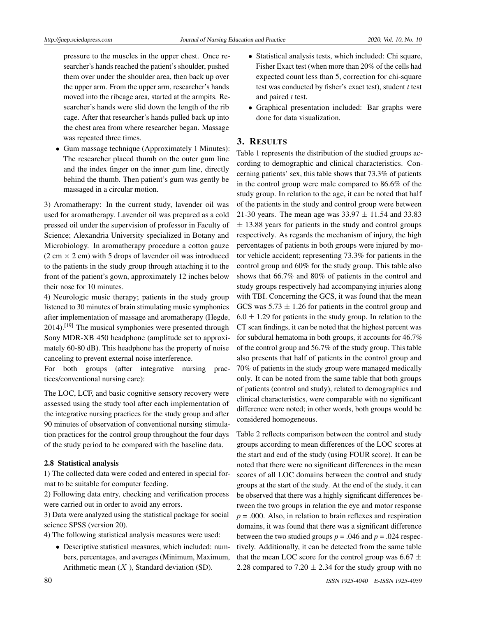pressure to the muscles in the upper chest. Once researcher's hands reached the patient's shoulder, pushed them over under the shoulder area, then back up over the upper arm. From the upper arm, researcher's hands moved into the ribcage area, started at the armpits. Researcher's hands were slid down the length of the rib cage. After that researcher's hands pulled back up into the chest area from where researcher began. Massage was repeated three times.

• Gum massage technique (Approximately 1 Minutes): The researcher placed thumb on the outer gum line and the index finger on the inner gum line, directly behind the thumb. Then patient's gum was gently be massaged in a circular motion.

3) Aromatherapy: In the current study, lavender oil was used for aromatherapy. Lavender oil was prepared as a cold pressed oil under the supervision of professor in Faculty of Science; Alexandria University specialized in Botany and Microbiology. In aromatherapy procedure a cotton gauze  $(2 \text{ cm} \times 2 \text{ cm})$  with 5 drops of lavender oil was introduced to the patients in the study group through attaching it to the front of the patient's gown, approximately 12 inches below their nose for 10 minutes.

4) Neurologic music therapy; patients in the study group listened to 30 minutes of brain stimulating music symphonies after implementation of massage and aromatherapy (Hegde, 2014).[\[19\]](#page-13-2) The musical symphonies were presented through Sony MDR-XB 450 headphone (amplitude set to approximately 60-80 dB). This headphone has the property of noise canceling to prevent external noise interference.

For both groups (after integrative nursing practices/conventional nursing care):

The LOC, LCF, and basic cognitive sensory recovery were assessed using the study tool after each implementation of the integrative nursing practices for the study group and after 90 minutes of observation of conventional nursing stimulation practices for the control group throughout the four days of the study period to be compared with the baseline data.

#### 2.8 Statistical analysis

1) The collected data were coded and entered in special format to be suitable for computer feeding.

2) Following data entry, checking and verification process were carried out in order to avoid any errors.

3) Data were analyzed using the statistical package for social science SPSS (version 20).

- 4) The following statistical analysis measures were used:
	- Descriptive statistical measures, which included: numbers, percentages, and averages (Minimum, Maximum, Arithmetic mean  $(\bar{X})$ , Standard deviation (SD).
- Statistical analysis tests, which included: Chi square, Fisher Exact test (when more than 20% of the cells had expected count less than 5, correction for chi-square test was conducted by fisher's exact test), student *t* test and paired *t* test.
- Graphical presentation included: Bar graphs were done for data visualization.

#### 3. RESULTS

Table 1 represents the distribution of the studied groups according to demographic and clinical characteristics. Concerning patients' sex, this table shows that 73.3% of patients in the control group were male compared to 86.6% of the study group. In relation to the age, it can be noted that half of the patients in the study and control group were between 21-30 years. The mean age was  $33.97 \pm 11.54$  and  $33.83$  $\pm$  13.88 years for patients in the study and control groups respectively. As regards the mechanism of injury, the high percentages of patients in both groups were injured by motor vehicle accident; representing 73.3% for patients in the control group and 60% for the study group. This table also shows that 66.7% and 80% of patients in the control and study groups respectively had accompanying injuries along with TBI. Concerning the GCS, it was found that the mean GCS was  $5.73 \pm 1.26$  for patients in the control group and  $6.0 \pm 1.29$  for patients in the study group. In relation to the CT scan findings, it can be noted that the highest percent was for subdural hematoma in both groups, it accounts for 46.7% of the control group and 56.7% of the study group. This table also presents that half of patients in the control group and 70% of patients in the study group were managed medically only. It can be noted from the same table that both groups of patients (control and study), related to demographics and clinical characteristics, were comparable with no significant difference were noted; in other words, both groups would be considered homogeneous.

Table 2 reflects comparison between the control and study groups according to mean differences of the LOC scores at the start and end of the study (using FOUR score). It can be noted that there were no significant differences in the mean scores of all LOC domains between the control and study groups at the start of the study. At the end of the study, it can be observed that there was a highly significant differences between the two groups in relation the eye and motor response  $p = .000$ . Also, in relation to brain reflexes and respiration domains, it was found that there was a significant difference between the two studied groups  $p = .046$  and  $p = .024$  respectively. Additionally, it can be detected from the same table that the mean LOC score for the control group was 6.67  $\pm$ 2.28 compared to 7.20  $\pm$  2.34 for the study group with no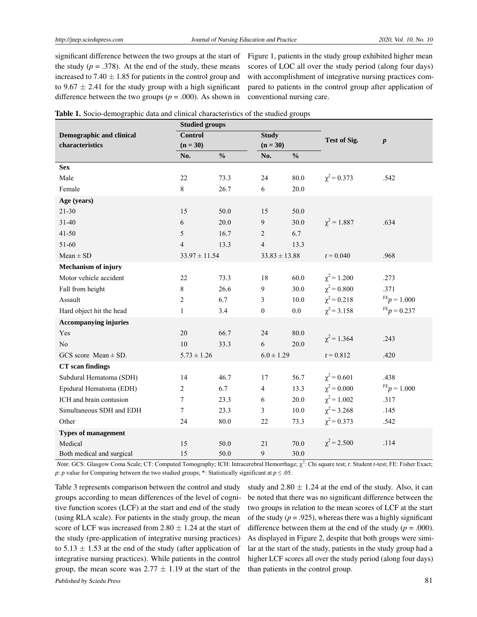significant difference between the two groups at the start of the study  $(p = .378)$ . At the end of the study, these means increased to 7.40  $\pm$  1.85 for patients in the control group and to 9.67  $\pm$  2.41 for the study group with a high significant difference between the two groups ( $p = .000$ ). As shown in

Figure 1, patients in the study group exhibited higher mean scores of LOC all over the study period (along four days) with accomplishment of integrative nursing practices compared to patients in the control group after application of conventional nursing care.

|  |  |  |  |  |  | Table 1. Socio-demographic data and clinical characteristics of the studied groups |  |  |  |
|--|--|--|--|--|--|------------------------------------------------------------------------------------|--|--|--|
|--|--|--|--|--|--|------------------------------------------------------------------------------------|--|--|--|

|                                 | <b>Studied groups</b> |               |                   |               |                  |                           |
|---------------------------------|-----------------------|---------------|-------------------|---------------|------------------|---------------------------|
| <b>Demographic and clinical</b> | <b>Control</b>        |               | <b>Study</b>      |               | Test of Sig.     |                           |
| characteristics                 | $(n = 30)$            | $(n = 30)$    |                   |               | $\boldsymbol{p}$ |                           |
|                                 | No.                   | $\frac{0}{0}$ | No.               | $\frac{0}{0}$ |                  |                           |
| <b>Sex</b>                      |                       |               |                   |               |                  |                           |
| Male                            | 22                    | 73.3          | 24                | 80.0          | $\chi^2$ = 0.373 | .542                      |
| Female                          | 8                     | 26.7          | 6                 | 20.0          |                  |                           |
| Age (years)                     |                       |               |                   |               |                  |                           |
| $21 - 30$                       | 15                    | 50.0          | 15                | 50.0          |                  |                           |
| $31 - 40$                       | 6                     | 20.0          | 9                 | 30.0          | $\chi^2 = 1.887$ | .634                      |
| $41 - 50$                       | 5                     | 16.7          | $\overline{2}$    | 6.7           |                  |                           |
| 51-60                           | $\overline{4}$        | 13.3          | $\overline{4}$    | 13.3          |                  |                           |
| $Mean \pm SD$                   | $33.97 \pm 11.54$     |               | $33.83 \pm 13.88$ |               | $t = 0.040$      | .968                      |
| Mechanism of injury             |                       |               |                   |               |                  |                           |
| Motor vehicle accident          | 22                    | 73.3          | 18                | 60.0          | $\chi^2$ = 1.200 | .273                      |
| Fall from height                | 8                     | 26.6          | 9                 | 30.0          | $\chi^2$ = 0.800 | .371                      |
| Assault                         | $\overline{2}$        | 6.7           | 3                 | 10.0          | $\chi^2$ = 0.218 | $_{\rm{FE}}$ $p = 1.000$  |
| Hard object hit the head        | $\mathbf{1}$          | 3.4           | $\boldsymbol{0}$  | 0.0           | $\chi^2$ = 3.158 | $F_{p} = 0.237$           |
| <b>Accompanying injuries</b>    |                       |               |                   |               |                  |                           |
| Yes                             | 20                    | 66.7          | 24                | 80.0          | $\chi^2$ = 1.364 | .243                      |
| N <sub>0</sub>                  | 10                    | 33.3          | 6                 | 20.0          |                  |                           |
| GCS score Mean $\pm$ SD.        | $5.73 \pm 1.26$       |               | $6.0 \pm 1.29$    |               | $t = 0.812$      | .420                      |
| <b>CT</b> scan findings         |                       |               |                   |               |                  |                           |
| Subdural Hematoma (SDH)         | 14                    | 46.7          | 17                | 56.7          | $\chi^2$ = 0.601 | .438                      |
| Epidural Hematoma (EDH)         | 2                     | 6.7           | $\overline{4}$    | 13.3          | $\chi^2 = 0.000$ | $\mathrm{^{FE}}p = 1.000$ |
| ICH and brain contusion         | $\overline{7}$        | 23.3          | 6                 | 20.0          | $\chi^2$ = 1.002 | .317                      |
| Simultaneous SDH and EDH        | $\tau$                | 23.3          | 3                 | $10.0\,$      | $\chi^2$ = 3.268 | .145                      |
| Other                           | 24                    | 80.0          | 22                | 73.3          | $\chi^2$ = 0.373 | .542                      |
| <b>Types of management</b>      |                       |               |                   |               |                  |                           |
| Medical                         | 15                    | 50.0          | 21                | 70.0          | $\chi^2$ = 2.500 | .114                      |
| Both medical and surgical       | 15                    | 50.0          | 9                 | 30.0          |                  |                           |

*Note.* GCS: Glasgow Coma Scale; CT: Computed Tomography; ICH: Intracerebral Hemorrhage; χ<sup>2</sup>: Chi square test; *t*: Student *t*-test; FE: Fisher Exact; *p*: *p* value for Comparing between the two studied groups; \*: Statistically significant at *p* ≤ .05.

Table 3 represents comparison between the control and study groups according to mean differences of the level of cognitive function scores (LCF) at the start and end of the study (using RLA scale). For patients in the study group, the mean score of LCF was increased from  $2.80 \pm 1.24$  at the start of the study (pre-application of integrative nursing practices) to  $5.13 \pm 1.53$  at the end of the study (after application of integrative nursing practices). While patients in the control group, the mean score was  $2.77 \pm 1.19$  at the start of the Published by Sciedu Press 81

study and  $2.80 \pm 1.24$  at the end of the study. Also, it can be noted that there was no significant difference between the two groups in relation to the mean scores of LCF at the start of the study  $(p = .925)$ , whereas there was a highly significant difference between them at the end of the study  $(p = .000)$ . As displayed in Figure 2, despite that both groups were similar at the start of the study, patients in the study group had a higher LCF scores all over the study period (along four days) than patients in the control group.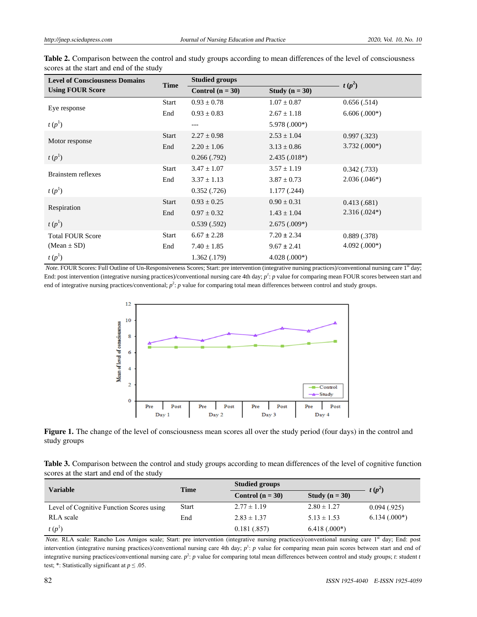| <b>Level of Consciousness Domains</b> | <b>Time</b>  | <b>Studied groups</b> |                  |                |
|---------------------------------------|--------------|-----------------------|------------------|----------------|
| <b>Using FOUR Score</b>               |              | Control $(n = 30)$    | Study $(n = 30)$ | $t(p^2)$       |
| Eye response                          | Start        | $0.93 \pm 0.78$       | $1.07 \pm 0.87$  | 0.656(.514)    |
|                                       | End          | $0.93 \pm 0.83$       | $2.67 \pm 1.18$  | $6.606(.000*)$ |
| $t(p^1)$                              |              |                       | $5.978(.000*)$   |                |
| Motor response                        | <b>Start</b> | $2.27 \pm 0.98$       | $2.53 \pm 1.04$  | 0.997(0.323)   |
|                                       | End          | $2.20 \pm 1.06$       | $3.13 \pm 0.86$  | $3.732(.000*)$ |
| $t(p^1)$                              |              | 0.266(.792)           | $2.435(.018*)$   |                |
| <b>Brainstem reflexes</b>             | <b>Start</b> | $3.47 \pm 1.07$       | $3.57 \pm 1.19$  | 0.342(0.733)   |
|                                       | End          | $3.37 \pm 1.13$       | $3.87 \pm 0.73$  | $2.036(.046*)$ |
| $t(p^1)$                              |              | 0.352(0.726)          | 1.177(.244)      |                |
|                                       | <b>Start</b> | $0.93 \pm 0.25$       | $0.90 \pm 0.31$  | 0.413(.681)    |
| Respiration                           | End          | $0.97 \pm 0.32$       | $1.43 \pm 1.04$  | $2.316(.024*)$ |
| $t(p^1)$                              |              | 0.539(.592)           | $2.675(.009*)$   |                |
| <b>Total FOUR Score</b>               | Start        | $6.67 \pm 2.28$       | $7.20 \pm 2.34$  | 0.889(.378)    |
| $(Mean \pm SD)$                       | End          | $7.40 \pm 1.85$       | $9.67 \pm 2.41$  | $4.092(.000*)$ |
| $t(p^1)$                              |              | 1.362(0.179)          | $4.028(.000*)$   |                |

Table 2. Comparison between the control and study groups according to mean differences of the level of consciousness scores at the start and end of the study

*Note.* FOUR Scores: Full Outline of Un-Responsiveness Scores; Start: pre intervention (integrative nursing practices)/conventional nursing care 1<sup>st</sup> day; End: post intervention (integrative nursing practices)/conventional nursing care 4th day; *p<sup>1</sup>* : *p* value for comparing mean FOUR scores between start and end of integrative nursing practices/conventional;  $p^2$ : *p* value for comparing total mean differences between control and study groups.



Figure 1. The change of the level of consciousness mean scores all over the study period (four days) in the control and study groups

| Table 3. Comparison between the control and study groups according to mean differences of the level of cognitive function |  |  |
|---------------------------------------------------------------------------------------------------------------------------|--|--|
| scores at the start and end of the study                                                                                  |  |  |

| <b>Variable</b>                          | Time         | <b>Studied groups</b> | $t(p^2)$         |                |
|------------------------------------------|--------------|-----------------------|------------------|----------------|
|                                          |              | Control $(n = 30)$    | Study $(n = 30)$ |                |
| Level of Cognitive Function Scores using | <b>Start</b> | $2.77 \pm 1.19$       | $2.80 \pm 1.27$  | 0.094(0.925)   |
| RLA scale                                | End          | $2.83 \pm 1.37$       | $5.13 \pm 1.53$  | $6.134(.000*)$ |
| $t(p^1)$                                 |              | 0.181(.857)           | $6.418(.000*)$   |                |

*Note.* RLA scale: Rancho Los Amigos scale; Start: pre intervention (integrative nursing practices)/conventional nursing care 1<sup>st</sup> day; End: post intervention (integrative nursing practices)/conventional nursing care 4th day;  $p<sup>1</sup>$ : p value for comparing mean pain scores between start and end of integrative nursing practices/conventional nursing care.  $p^2$ :  $p$  value for comparing total mean differences between control and study groups; *t*: student *t* test; \*: Statistically significant at  $p \le 0.05$ .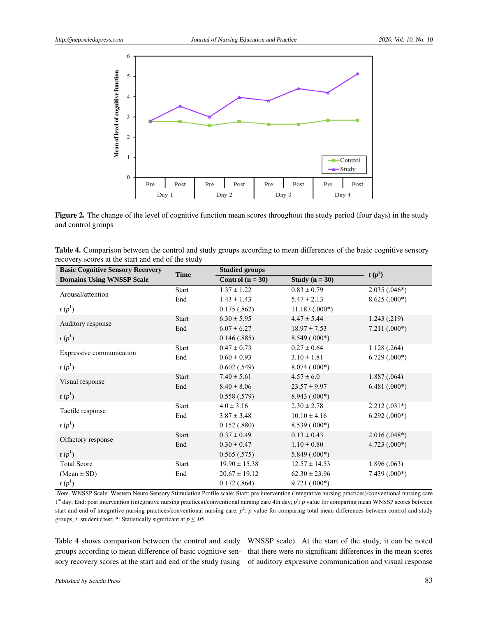

Figure 2. The change of the level of cognitive function mean scores throughout the study period (four days) in the study and control groups

| Table 4. Comparison between the control and study groups according to mean differences of the basic cognitive sensory |  |  |
|-----------------------------------------------------------------------------------------------------------------------|--|--|
| recovery scores at the start and end of the study                                                                     |  |  |

| <b>Basic Cognitive Sensory Recovery</b> | <b>Time</b>  | <b>Studied groups</b> | $t(p^2)$          |                |
|-----------------------------------------|--------------|-----------------------|-------------------|----------------|
| <b>Domains Using WNSSP Scale</b>        |              | Control $(n = 30)$    | Study $(n = 30)$  |                |
| Arousal/attention                       | <b>Start</b> | $1.37 \pm 1.22$       | $0.83 \pm 0.79$   | $2.035(.046*)$ |
|                                         | End          | $1.43 \pm 1.43$       | $5.47 \pm 2.13$   | $8.625(.000*)$ |
| $t(p^1)$                                |              | 0.175(.862)           | $11.187(.000*)$   |                |
|                                         | <b>Start</b> | $6.30 \pm 5.95$       | $4.47 \pm 5.44$   | 1.243(0.219)   |
| Auditory response                       | End          | $6.07 \pm 6.27$       | $18.97 \pm 7.53$  | $7.211(.000*)$ |
| $t(p^1)$                                |              | 0.146(.885)           | $8.549(.000*)$    |                |
|                                         | <b>Start</b> | $0.47 \pm 0.73$       | $0.27 \pm 0.64$   | 1.128(.264)    |
| Expressive communication                | End          | $0.60 \pm 0.93$       | $3.10 \pm 1.81$   | $6.729(.000*)$ |
| $t(p^1)$                                |              | 0.602(.549)           | $8.074(.000*)$    |                |
|                                         | <b>Start</b> | $7.40 \pm 5.61$       | $4.57 \pm 6.0$    | 1.887(.064)    |
| Visual response                         | End          | $8.40 \pm 8.06$       | $23.57 \pm 9.97$  | $6.481(.000*)$ |
| $t(p^1)$                                |              | 0.558(.579)           | $8.943(.000*)$    |                |
| Tactile response                        | <b>Start</b> | $4.0 \pm 3.16$        | $2.30 \pm 2.78$   | $2.212(.031*)$ |
|                                         | End          | $3.87 \pm 3.48$       | $10.10 \pm 4.16$  | $6.292(.000*)$ |
| $t(p^1)$                                |              | 0.152(.880)           | $8.539(.000*)$    |                |
| Olfactory response                      | <b>Start</b> | $0.37 \pm 0.49$       | $0.13 \pm 0.43$   | $2.016(.048*)$ |
|                                         | End          | $0.30 \pm 0.47$       | $1.10 \pm 0.80$   | $4.723(.000*)$ |
| $t(p^1)$                                |              | 0.565(.575)           | $5.849(.000*)$    |                |
| <b>Total Score</b>                      | <b>Start</b> | $19.90 \pm 15.38$     | $12.57 \pm 14.53$ | 1.896(.063)    |
| $(Mean \pm SD)$                         | End          | $20.67 \pm 19.12$     | $62.30 \pm 23.96$ | $7.439(.000*)$ |
| $t(p^1)$                                |              | 0.172(.864)           | $9.721(.000*)$    |                |

 *Note.* WNSSP Scale: Western Neuro Sensory Stimulation Profile scale; Start: pre intervention (integrative nursing practices)/conventional nursing care 1<sup>st</sup> day; End: post intervention (integrative nursing practices)/conventional nursing care 4th day;  $p^1$ : p value for comparing mean WNSSP scores between start and end of integrative nursing practices/conventional nursing care.  $p^2$ :  $p$  value for comparing total mean differences between control and study groups; *t*: student *t* test; \*: Statistically significant at  $p \le 0.05$ .

Table 4 shows comparison between the control and study WNSSP scale). At the start of the study, it can be noted groups according to mean difference of basic cognitive sen-that there were no significant differences in the mean scores sory recovery scores at the start and end of the study (using of auditory expressive communication and visual response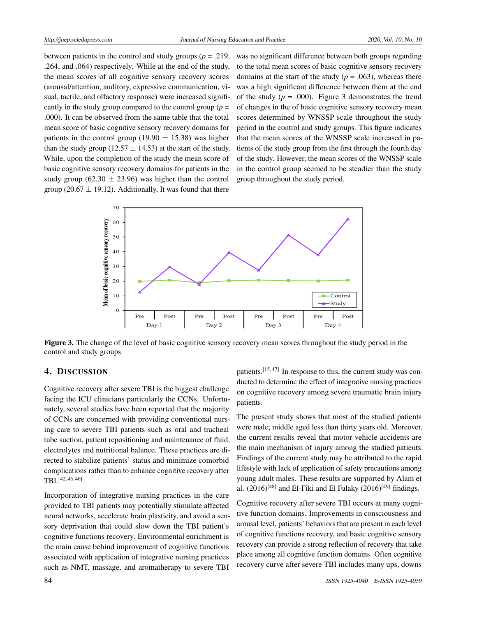between patients in the control and study groups  $(p = .219, )$ .264, and .064) respectively. While at the end of the study, the mean scores of all cognitive sensory recovery scores (arousal/attention, auditory, expressive communication, visual, tactile, and olfactory response) were increased significantly in the study group compared to the control group ( $p =$ .000). It can be observed from the same table that the total mean score of basic cognitive sensory recovery domains for patients in the control group (19.90  $\pm$  15.38) was higher than the study group (12.57  $\pm$  14.53) at the start of the study. While, upon the completion of the study the mean score of basic cognitive sensory recovery domains for patients in the study group (62.30  $\pm$  23.96) was higher than the control group (20.67  $\pm$  19.12). Additionally, It was found that there

was no significant difference between both groups regarding to the total mean scores of basic cognitive sensory recovery domains at the start of the study ( $p = .063$ ), whereas there was a high significant difference between them at the end of the study  $(p = .000)$ . Figure 3 demonstrates the trend of changes in the of basic cognitive sensory recovery mean scores determined by WNSSP scale throughout the study period in the control and study groups. This figure indicates that the mean scores of the WNSSP scale increased in patients of the study group from the first through the fourth day of the study. However, the mean scores of the WNSSP scale in the control group seemed to be steadier than the study group throughout the study period.



Figure 3. The change of the level of basic cognitive sensory recovery mean scores throughout the study period in the control and study groups

#### 4. DISCUSSION

Cognitive recovery after severe TBI is the biggest challenge facing the ICU clinicians particularly the CCNs. Unfortunately, several studies have been reported that the majority of CCNs are concerned with providing conventional nursing care to severe TBI patients such as oral and tracheal tube suction, patient repositioning and maintenance of fluid, electrolytes and nutritional balance. These practices are directed to stabilize patients' status and minimize comorbid complications rather than to enhance cognitive recovery after TBI.[\[42,](#page-13-22) [45,](#page-14-1) [46\]](#page-14-2)

Incorporation of integrative nursing practices in the care provided to TBI patients may potentially stimulate affected neural networks, accelerate brain plasticity, and avoid a sensory deprivation that could slow down the TBI patient's cognitive functions recovery. Environmental enrichment is the main cause behind improvement of cognitive functions associated with application of integrative nursing practices such as NMT, massage, and aromatherapy to severe TBI

patients.<sup>[\[15,](#page-13-24)[47\]](#page-14-3)</sup> In response to this, the current study was conducted to determine the effect of integrative nursing practices on cognitive recovery among severe traumatic brain injury patients.

The present study shows that most of the studied patients were male; middle aged less than thirty years old. Moreover, the current results reveal that motor vehicle accidents are the main mechanism of injury among the studied patients. Findings of the current study may be attributed to the rapid lifestyle with lack of application of safety precautions among young adult males. These results are supported by Alam et al.  $(2016)^{[48]}$  $(2016)^{[48]}$  $(2016)^{[48]}$  and El-Fiki and El Falaky  $(2016)^{[49]}$  $(2016)^{[49]}$  $(2016)^{[49]}$  findings.

Cognitive recovery after severe TBI occurs at many cognitive function domains. Improvements in consciousness and arousal level, patients' behaviors that are present in each level of cognitive functions recovery, and basic cognitive sensory recovery can provide a strong reflection of recovery that take place among all cognitive function domains. Often cognitive recovery curve after severe TBI includes many ups, downs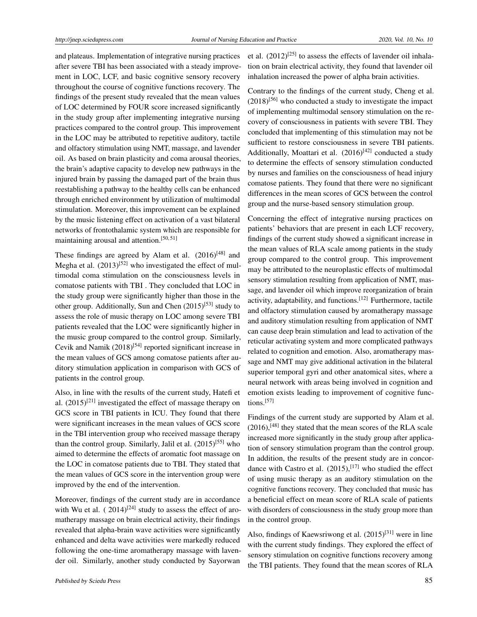and plateaus. Implementation of integrative nursing practices after severe TBI has been associated with a steady improvement in LOC, LCF, and basic cognitive sensory recovery throughout the course of cognitive functions recovery. The findings of the present study revealed that the mean values of LOC determined by FOUR score increased significantly in the study group after implementing integrative nursing practices compared to the control group. This improvement in the LOC may be attributed to repetitive auditory, tactile and olfactory stimulation using NMT, massage, and lavender oil. As based on brain plasticity and coma arousal theories, the brain's adaptive capacity to develop new pathways in the injured brain by passing the damaged part of the brain thus reestablishing a pathway to the healthy cells can be enhanced through enriched environment by utilization of multimodal stimulation. Moreover, this improvement can be explained by the music listening effect on activation of a vast bilateral networks of frontothalamic system which are responsible for maintaining arousal and attention.<sup>[\[50,](#page-14-6) [51\]](#page-14-7)</sup>

These findings are agreed by Alam et al.  $(2016)^{[48]}$  $(2016)^{[48]}$  $(2016)^{[48]}$  and Megha et al.  $(2013)^{52}$  who investigated the effect of multimodal coma stimulation on the consciousness levels in comatose patients with TBI . They concluded that LOC in the study group were significantly higher than those in the other group. Additionally, Sun and Chen (2015)<sup>[\[53\]](#page-14-9)</sup> study to assess the role of music therapy on LOC among severe TBI patients revealed that the LOC were significantly higher in the music group compared to the control group. Similarly, Cevik and Namik (2018)<sup>[\[54\]](#page-14-10)</sup> reported significant increase in the mean values of GCS among comatose patients after auditory stimulation application in comparison with GCS of patients in the control group.

Also, in line with the results of the current study, Hatefi et al.  $(2015)^{[21]}$  $(2015)^{[21]}$  $(2015)^{[21]}$  investigated the effect of massage therapy on GCS score in TBI patients in ICU. They found that there were significant increases in the mean values of GCS score in the TBI intervention group who received massage therapy than the control group. Similarly, Jalil et al.  $(2015)^{55}$  who aimed to determine the effects of aromatic foot massage on the LOC in comatose patients due to TBI. They stated that the mean values of GCS score in the intervention group were improved by the end of the intervention.

Moreover, findings of the current study are in accordance with Wu et al.  $(2014)^{[24]}$  $(2014)^{[24]}$  $(2014)^{[24]}$  study to assess the effect of aromatherapy massage on brain electrical activity, their findings revealed that alpha-brain wave activities were significantly enhanced and delta wave activities were markedly reduced following the one-time aromatherapy massage with lavender oil. Similarly, another study conducted by Sayorwan

et al.  $(2012)^{[25]}$  $(2012)^{[25]}$  $(2012)^{[25]}$  to assess the effects of lavender oil inhalation on brain electrical activity, they found that lavender oil inhalation increased the power of alpha brain activities.

Contrary to the findings of the current study, Cheng et al.  $(2018)^{[56]}$  $(2018)^{[56]}$  $(2018)^{[56]}$  who conducted a study to investigate the impact of implementing multimodal sensory stimulation on the recovery of consciousness in patients with severe TBI. They concluded that implementing of this stimulation may not be sufficient to restore consciousness in severe TBI patients. Additionally, Moattari et al.  $(2016)^{[42]}$  $(2016)^{[42]}$  $(2016)^{[42]}$  conducted a study to determine the effects of sensory stimulation conducted by nurses and families on the consciousness of head injury comatose patients. They found that there were no significant differences in the mean scores of GCS between the control group and the nurse-based sensory stimulation group.

Concerning the effect of integrative nursing practices on patients' behaviors that are present in each LCF recovery, findings of the current study showed a significant increase in the mean values of RLA scale among patients in the study group compared to the control group. This improvement may be attributed to the neuroplastic effects of multimodal sensory stimulation resulting from application of NMT, massage, and lavender oil which improve reorganization of brain activity, adaptability, and functions.<sup>[\[12\]](#page-12-13)</sup> Furthermore, tactile and olfactory stimulation caused by aromatherapy massage and auditory stimulation resulting from application of NMT can cause deep brain stimulation and lead to activation of the reticular activating system and more complicated pathways related to cognition and emotion. Also, aromatherapy massage and NMT may give additional activation in the bilateral superior temporal gyri and other anatomical sites, where a neural network with areas being involved in cognition and emotion exists leading to improvement of cognitive functions.[\[57\]](#page-14-13)

Findings of the current study are supported by Alam et al.  $(2016)$ ,<sup>[\[48\]](#page-14-4)</sup> they stated that the mean scores of the RLA scale increased more significantly in the study group after application of sensory stimulation program than the control group. In addition, the results of the present study are in concordance with Castro et al.  $(2015)$ ,<sup>[\[17\]](#page-13-1)</sup> who studied the effect of using music therapy as an auditory stimulation on the cognitive functions recovery. They concluded that music has a beneficial effect on mean score of RLA scale of patients with disorders of consciousness in the study group more than in the control group.

Also, findings of Kaewsriwong et al.  $(2015)^{[31]}$  $(2015)^{[31]}$  $(2015)^{[31]}$  were in line with the current study findings. They explored the effect of sensory stimulation on cognitive functions recovery among the TBI patients. They found that the mean scores of RLA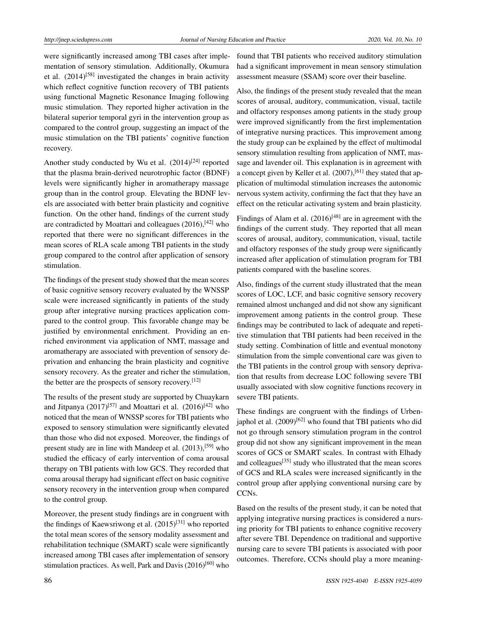were significantly increased among TBI cases after implementation of sensory stimulation. Additionally, Okumura et al. (2014)<sup>[\[58\]](#page-14-14)</sup> investigated the changes in brain activity which reflect cognitive function recovery of TBI patients using functional Magnetic Resonance Imaging following music stimulation. They reported higher activation in the bilateral superior temporal gyri in the intervention group as compared to the control group, suggesting an impact of the music stimulation on the TBI patients' cognitive function recovery.

Another study conducted by Wu et al. (2014)<sup>[\[24\]](#page-13-6)</sup> reported that the plasma brain-derived neurotrophic factor (BDNF) levels were significantly higher in aromatherapy massage group than in the control group. Elevating the BDNF levels are associated with better brain plasticity and cognitive function. On the other hand, findings of the current study are contradicted by Moattari and colleagues  $(2016)$ ,  $[42]$  who reported that there were no significant differences in the mean scores of RLA scale among TBI patients in the study group compared to the control after application of sensory stimulation.

The findings of the present study showed that the mean scores of basic cognitive sensory recovery evaluated by the WNSSP scale were increased significantly in patients of the study group after integrative nursing practices application compared to the control group. This favorable change may be justified by environmental enrichment. Providing an enriched environment via application of NMT, massage and aromatherapy are associated with prevention of sensory deprivation and enhancing the brain plasticity and cognitive sensory recovery. As the greater and richer the stimulation, the better are the prospects of sensory recovery.<sup>[\[12\]](#page-12-13)</sup>

The results of the present study are supported by Chuaykarn and Jitpanya (2017)<sup>[\[57\]](#page-14-13)</sup> and Moattari et al. (2016)<sup>[\[42\]](#page-13-22)</sup> who noticed that the mean of WNSSP scores for TBI patients who exposed to sensory stimulation were significantly elevated than those who did not exposed. Moreover, the findings of present study are in line with Mandeep et al. (2013),<sup>[\[59\]](#page-14-15)</sup> who studied the efficacy of early intervention of coma arousal therapy on TBI patients with low GCS. They recorded that coma arousal therapy had significant effect on basic cognitive sensory recovery in the intervention group when compared to the control group.

Moreover, the present study findings are in congruent with the findings of Kaewsriwong et al.  $(2015)^{[31]}$  $(2015)^{[31]}$  $(2015)^{[31]}$  who reported the total mean scores of the sensory modality assessment and rehabilitation technique (SMART) scale were significantly increased among TBI cases after implementation of sensory stimulation practices. As well, Park and Davis  $(2016)^{[60]}$  $(2016)^{[60]}$  $(2016)^{[60]}$  who found that TBI patients who received auditory stimulation had a significant improvement in mean sensory stimulation assessment measure (SSAM) score over their baseline.

Also, the findings of the present study revealed that the mean scores of arousal, auditory, communication, visual, tactile and olfactory responses among patients in the study group were improved significantly from the first implementation of integrative nursing practices. This improvement among the study group can be explained by the effect of multimodal sensory stimulation resulting from application of NMT, massage and lavender oil. This explanation is in agreement with a concept given by Keller et al. (2007),<sup>[\[61\]](#page-14-17)</sup> they stated that application of multimodal stimulation increases the autonomic nervous system activity, confirming the fact that they have an effect on the reticular activating system and brain plasticity.

Findings of Alam et al.  $(2016)^{[48]}$  $(2016)^{[48]}$  $(2016)^{[48]}$  are in agreement with the findings of the current study. They reported that all mean scores of arousal, auditory, communication, visual, tactile and olfactory responses of the study group were significantly increased after application of stimulation program for TBI patients compared with the baseline scores.

Also, findings of the current study illustrated that the mean scores of LOC, LCF, and basic cognitive sensory recovery remained almost unchanged and did not show any significant improvement among patients in the control group. These findings may be contributed to lack of adequate and repetitive stimulation that TBI patients had been received in the study setting. Combination of little and eventual monotony stimulation from the simple conventional care was given to the TBI patients in the control group with sensory deprivation that results from decrease LOC following severe TBI usually associated with slow cognitive functions recovery in severe TBI patients.

These findings are congruent with the findings of Urben-iaphol et al. (2009)<sup>[\[62\]](#page-14-18)</sup> who found that TBI patients who did not go through sensory stimulation program in the control group did not show any significant improvement in the mean scores of GCS or SMART scales. In contrast with Elhady and colleagues<sup>[\[35\]](#page-13-15)</sup> study who illustrated that the mean scores of GCS and RLA scales were increased significantly in the control group after applying conventional nursing care by CCNs.

Based on the results of the present study, it can be noted that applying integrative nursing practices is considered a nursing priority for TBI patients to enhance cognitive recovery after severe TBI. Dependence on traditional and supportive nursing care to severe TBI patients is associated with poor outcomes. Therefore, CCNs should play a more meaning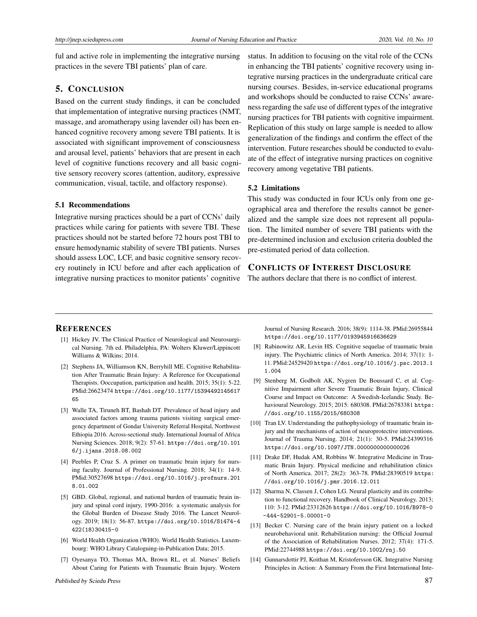ful and active role in implementing the integrative nursing practices in the severe TBI patients' plan of care.

# 5. CONCLUSION

Based on the current study findings, it can be concluded that implementation of integrative nursing practices (NMT, massage, and aromatherapy using lavender oil) has been enhanced cognitive recovery among severe TBI patients. It is associated with significant improvement of consciousness and arousal level, patients' behaviors that are present in each level of cognitive functions recovery and all basic cognitive sensory recovery scores (attention, auditory, expressive communication, visual, tactile, and olfactory response).

#### 5.1 Recommendations

Integrative nursing practices should be a part of CCNs' daily practices while caring for patients with severe TBI. These practices should not be started before 72 hours post TBI to ensure hemodynamic stability of severe TBI patients. Nurses should assess LOC, LCF, and basic cognitive sensory recovery routinely in ICU before and after each application of integrative nursing practices to monitor patients' cognitive

status. In addition to focusing on the vital role of the CCNs in enhancing the TBI patients' cognitive recovery using integrative nursing practices in the undergraduate critical care nursing courses. Besides, in-service educational programs and workshops should be conducted to raise CCNs' awareness regarding the safe use of different types of the integrative nursing practices for TBI patients with cognitive impairment. Replication of this study on large sample is needed to allow generalization of the findings and confirm the effect of the intervention. Future researches should be conducted to evaluate of the effect of integrative nursing practices on cognitive recovery among vegetative TBI patients.

#### 5.2 Limitations

This study was conducted in four ICUs only from one geographical area and therefore the results cannot be generalized and the sample size does not represent all population. The limited number of severe TBI patients with the pre-determined inclusion and exclusion criteria doubled the pre-estimated period of data collection.

# CONFLICTS OF INTEREST DISCLOSURE

The authors declare that there is no conflict of interest.

#### **REFERENCES**

- <span id="page-12-0"></span>[1] Hickey JV. The Clinical Practice of Neurological and Neurosurgical Nursing. 7th ed. Philadelphia, PA: Wolters Kluwer/Lippincott Williams & Wilkins; 2014.
- <span id="page-12-1"></span>[2] Stephens JA, Williamson KN, Berryhill ME. Cognitive Rehabilitation After Traumatic Brain Injury: A Reference for Occupational Therapists. Ooccupation, participation and health. 2015; 35(1): 5-22. PMid:26623474 [https://doi.org/10.1177/15394492145617](https://doi.org/10.1177/1539449214561765) [65](https://doi.org/10.1177/1539449214561765)
- <span id="page-12-2"></span>[3] Walle TA, Tiruneh BT, Bashah DT. Prevalence of head injury and associated factors among trauma patients visiting surgical emergency department of Gondar University Referral Hospital, Northwest Ethiopia 2016. Across-sectional study. International Journal of Africa Nursing Sciences. 2018; 9(2): 57-61. [https://doi.org/10.101](https://doi.org/10.1016/j.ijans.2018.08.002) [6/j.ijans.2018.08.002](https://doi.org/10.1016/j.ijans.2018.08.002)
- <span id="page-12-3"></span>[4] Peebles P, Cruz S. A primer on traumatic brain injury for nursing faculty. Journal of Professional Nursing. 2018; 34(1): 14-9. PMid:30527698 [https://doi.org/10.1016/j.profnurs.201](https://doi.org/10.1016/j.profnurs.2018.01.002) [8.01.002](https://doi.org/10.1016/j.profnurs.2018.01.002)
- <span id="page-12-4"></span>[5] GBD. Global, regional, and national burden of traumatic brain injury and spinal cord injury, 1990-2016: a systematic analysis for the Global Burden of Disease Study 2016. The Lancet Neurology. 2019; 18(1): 56-87. [https://doi.org/10.1016/S1474-4](https://doi.org/10.1016/S1474-4422(18)30415-0) [422\(18\)30415-0](https://doi.org/10.1016/S1474-4422(18)30415-0)
- <span id="page-12-5"></span>[6] World Health Organization (WHO). World Health Statistics. Luxembourg: WHO Library Cataloguing-in-Publication Data; 2015.
- <span id="page-12-6"></span>[7] Oyesanya TO, Thomas MA, Brown RL, et al. Nurses' Beliefs About Caring for Patients with Traumatic Brain Injury. Western

Journal of Nursing Research. 2016; 38(9): 1114-38. PMid:26955844 <https://doi.org/10.1177/0193945916636629>

- <span id="page-12-7"></span>[8] Rabinowitz AR, Levin HS. Cognitive sequelae of traumatic brain injury. The Psychiatric clinics of North America. 2014; 37(1): 1- 11. PMid:24529420 [https://doi.org/10.1016/j.psc.2013.1](https://doi.org/10.1016/j.psc.2013.11.004) [1.004](https://doi.org/10.1016/j.psc.2013.11.004)
- <span id="page-12-8"></span>[9] Stenberg M, Godbolt AK, Nygren De Boussard C, et al. Cognitive Impairment after Severe Traumatic Brain Injury, Clinical Course and Impact on Outcome: A Swedish-Icelandic Study. Behavioural Neurology. 2015; 2015: 680308. PMid:26783381 [https:](https://doi.org/10.1155/2015/680308) [//doi.org/10.1155/2015/680308](https://doi.org/10.1155/2015/680308)
- <span id="page-12-9"></span>[10] Tran LV. Understanding the pathophysiology of traumatic brain injury and the mechanisms of action of neuroprotective interventions. Journal of Trauma Nursing. 2014; 21(1): 30-5. PMid:24399316 <https://doi.org/10.1097/JTN.0000000000000026>
- <span id="page-12-10"></span>[11] Drake DF, Hudak AM, Robbins W. Integrative Medicine in Traumatic Brain Injury. Physical medicine and rehabilitation clinics of North America. 2017; 28(2): 363-78. PMid:28390519 [https:](https://doi.org/10.1016/j.pmr.2016.12.011) [//doi.org/10.1016/j.pmr.2016.12.011](https://doi.org/10.1016/j.pmr.2016.12.011)
- <span id="page-12-13"></span>[12] Sharma N, Classen J, Cohen LG. Neural plasticity and its contribution to functional recovery. Handbook of Clinical Neurology. 2013; 110: 3-12. PMid:23312626 [https://doi.org/10.1016/B978-0](https://doi.org/10.1016/B978-0-444-52901-5.00001-0) [-444-52901-5.00001-0](https://doi.org/10.1016/B978-0-444-52901-5.00001-0)
- <span id="page-12-11"></span>[13] Becker C. Nursing care of the brain injury patient on a locked neurobehavioral unit. Rehabilitation nursing: the Official Journal of the Association of Rehabilitation Nurses. 2012; 37(4): 171-5. PMid:22744988 <https://doi.org/10.1002/rnj.50>
- <span id="page-12-12"></span>[14] Gunnarsdottir PJ, Koithan M, Kristofersson GK. Integrative Nursing Principles in Action: A Summary From the First International Inte-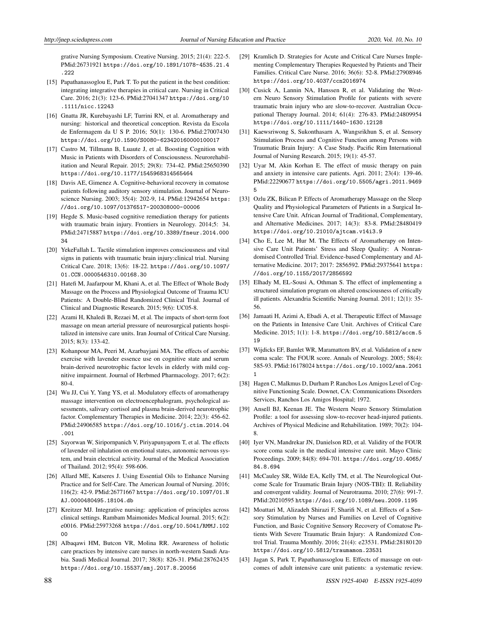grative Nursing Symposium. Creative Nursing. 2015; 21(4): 222-5. PMid:26731921 [https://doi.org/10.1891/1078-4535.21.4](https://doi.org/10.1891/1078-4535.21.4.222) [.222](https://doi.org/10.1891/1078-4535.21.4.222)

- <span id="page-13-24"></span>[15] Papathanassoglou E, Park T. To put the patient in the best condition: integrating integrative therapies in critical care. Nursing in Critical Care. 2016; 21(3): 123-6. PMid:27041347 [https://doi.org/10](https://doi.org/10.1111/nicc.12243) [.1111/nicc.12243](https://doi.org/10.1111/nicc.12243)
- <span id="page-13-0"></span>[16] Gnatta JR, Kurebayashi LF, Turrini RN, et al. Aromatherapy and nursing: historical and theoretical conception. Revista da Escola de Enfermagem da U S P. 2016; 50(1): 130-6. PMid:27007430 [https://doi.org/10.1590/S0080-623420160000100017](https://doi.org/10.1590/S0080-623420160000100017 )
- <span id="page-13-1"></span>[17] Castro M, Tillmann B, Luaute J, et al. Boosting Cognition with Music in Patients with Disorders of Consciousness. Neurorehabilitation and Neural Repair. 2015; 29(8): 734-42. PMid:25650390 <https://doi.org/10.1177/1545968314565464>
- [18] Davis AE, Gimenez A. Cognitive-behavioral recovery in comatose patients following auditory sensory stimulation. Journal of Neuroscience Nursing. 2003; 35(4): 202-9, 14. PMid:12942654 [https:](https://doi.org/10.1097/01376517-200308000-00006) [//doi.org/10.1097/01376517-200308000-00006](https://doi.org/10.1097/01376517-200308000-00006)
- <span id="page-13-2"></span>[19] Hegde S. Music-based cognitive remediation therapy for patients with traumatic brain injury. Frontiers in Neurology. 2014;5: 34. PMid:24715887 [https://doi.org/10.3389/fneur.2014.000](https://doi.org/10.3389/fneur.2014.00034) [34](https://doi.org/10.3389/fneur.2014.00034)
- <span id="page-13-3"></span>[20] YekeFallah L. Tactile stimulation improves consciousness and vital signs in patients with traumatic brain injury:clinical trial. Nursing Critical Care. 2018; 13(6): 18-22. [https://doi.org/10.1097/](https://doi.org/10.1097/01.CCN.0000546310.00168.30) [01.CCN.0000546310.00168.30](https://doi.org/10.1097/01.CCN.0000546310.00168.30)
- <span id="page-13-25"></span>[21] Hatefi M, Jaafarpour M, Khani A, et al. The Effect of Whole Body Massage on the Process and Physiological Outcome of Trauma ICU Patients: A Double-Blind Randomized Clinical Trial. Journal of Clinical and Diagnostic Research. 2015; 9(6): UC05-8.
- <span id="page-13-4"></span>[22] Azami H, Khaledi B, Rezaei M, et al. The impacts of short-term foot massage on mean arterial pressure of neurosurgical patients hospitalized in intensive care units. Iran Journal of Critical Care Nursing. 2015; 8(3): 133-42.
- <span id="page-13-5"></span>[23] Kohanpour MA, Peeri M, Azarbayjani MA. The effects of aerobic exercise with lavender essence use on cognitive state and serum brain-derived neurotrophic factor levels in elderly with mild cognitive impairment. Journal of Herbmed Pharmacology. 2017; 6(2): 80-4.
- <span id="page-13-6"></span>[24] Wu JJ, Cui Y, Yang YS, et al. Modulatory effects of aromatherapy massage intervention on electroencephalogram, psychological assessments, salivary cortisol and plasma brain-derived neurotrophic factor. Complementary Therapies in Medicine. 2014; 22(3): 456-62. PMid:24906585 [https://doi.org/10.1016/j.ctim.2014.04](https://doi.org/10.1016/j.ctim.2014.04.001) [.001](https://doi.org/10.1016/j.ctim.2014.04.001)
- <span id="page-13-7"></span>[25] Sayorwan W, Siripornpanich V, Piriyapunyaporn T, et al. The effects of lavender oil inhalation on emotional states, autonomic nervous system, and brain electrical activity. Journal of the Medical Association of Thailand. 2012; 95(4): 598-606.
- <span id="page-13-8"></span>[26] Allard ME, Katseres J. Using Essential Oils to Enhance Nursing Practice and for Self-Care. The American Journal of Nursing. 2016; 116(2): 42-9. PMid:26771667 [https://doi.org/10.1097/01.N](https://doi.org/10.1097/01.NAJ.0000480495.18104.db) [AJ.0000480495.18104.db](https://doi.org/10.1097/01.NAJ.0000480495.18104.db)
- <span id="page-13-9"></span>[27] Kreitzer MJ. Integrative nursing: application of principles across clinical settings. Rambam Maimonides Medical Journal. 2015; 6(2): e0016. PMid:25973268 [https://doi.org/10.5041/RMMJ.102](https://doi.org/10.5041/RMMJ.10200) [00](https://doi.org/10.5041/RMMJ.10200)
- [28] Albaqawi HM, Butcon VR, Molina RR. Awareness of holistic care practices by intensive care nurses in north-western Saudi Arabia. Saudi Medical Journal. 2017; 38(8): 826-31. PMid:28762435 <https://doi.org/10.15537/smj.2017.8.20056>
- <span id="page-13-10"></span>[29] Kramlich D. Strategies for Acute and Critical Care Nurses Implementing Complementary Therapies Requested by Patients and Their Families. Critical Care Nurse. 2016; 36(6): 52-8. PMid:27908946 <https://doi.org/10.4037/ccn2016974>
- <span id="page-13-11"></span>[30] Cusick A, Lannin NA, Hanssen R, et al. Validating the Western Neuro Sensory Stimulation Profile for patients with severe traumatic brain injury who are slow-to-recover. Australian Occupational Therapy Journal. 2014; 61(4): 276-83. PMid:24809954 [https://doi.org/10.1111/1440-1630.12128](https://doi.org/10.1111/1440-1630.12128 )
- <span id="page-13-12"></span>[31] Kaewsriwong S, Sukonthasarn A, Wangsrikhun S, et al. Sensory Stimulation Process and Cognitive Function among Persons with Traumatic Brain Injury: A Case Study. Pacific Rim International Journal of Nursing Research. 2015; 19(1): 45-57.
- <span id="page-13-13"></span>[32] Uyar M, Akin Korhan E. The effect of music therapy on pain and anxiety in intensive care patients. Agri. 2011; 23(4): 139-46. PMid:22290677 [https://doi.org/10.5505/agri.2011.9469](https://doi.org/10.5505/agri.2011.94695) [5](https://doi.org/10.5505/agri.2011.94695)
- [33] Ozlu ZK, Bilican P. Effects of Aromatherapy Massage on the Sleep Quality and Physiological Parameters of Patients in a Surgical Intensive Care Unit. African Journal of Traditional, Complementary, and Alternative Medicines. 2017; 14(3): 83-8. PMid:28480419 <https://doi.org/10.21010/ajtcam.v14i3.9>
- <span id="page-13-14"></span>[34] Cho E, Lee M, Hur M. The Effects of Aromatherapy on Intensive Care Unit Patients' Stress and Sleep Quality: A Nonrandomised Controlled Trial. Evidence-based Complementary and Alternative Medicine. 2017; 2017: 2856592. PMid:29375641 [https:](https://doi.org/10.1155/2017/2856592) [//doi.org/10.1155/2017/2856592](https://doi.org/10.1155/2017/2856592)
- <span id="page-13-15"></span>[35] Elhady M, EL-Sousi A, Othman S. The effect of implementing a structured simulation program on altered consciousness of critically ill patients. Alexandria Scientific Nursing Journal. 2011; 12(1): 35- 56.
- <span id="page-13-16"></span>[36] Jamaati H, Azimi A, Ebadi A, et al. Therapeutic Effect of Massage on the Patients in Intensive Care Unit. Archives of Critical Care Medicine. 2015; 1(1): 1-8. [https://doi.org/10.5812/accm.5](https://doi.org/10.5812/accm.519) [19](https://doi.org/10.5812/accm.519)
- <span id="page-13-17"></span>[37] Wijdicks EF, Bamlet WR, Maramattom BV, et al. Validation of a new coma scale: The FOUR score. Annals of Neurology. 2005; 58(4): 585-93. PMid:16178024 [https://doi.org/10.1002/ana.2061](https://doi.org/10.1002/ana.20611) [1](https://doi.org/10.1002/ana.20611)
- <span id="page-13-18"></span>[38] Hagen C, Malkmus D, Durham P. Ranchos Los Amigos Level of Cognitive Functioning Scale. Downet, CA: Communications Disorders Services, Ranchos Los Amigos Hospital; 1972.
- <span id="page-13-19"></span>[39] Ansell BJ, Keenan JE. The Western Neuro Sensory Stimulation Profile: a tool for assessing slow-to-recover head-injured patients. Archives of Physical Medicine and Rehabilitation. 1989; 70(2): 104- 8.
- <span id="page-13-20"></span>[40] Iyer VN, Mandrekar JN, Danielson RD, et al. Validity of the FOUR score coma scale in the medical intensive care unit. Mayo Clinic Proceedings. 2009; 84(8): 694-701. [https://doi.org/10.4065/](https://doi.org/10.4065/84.8.694) [84.8.694](https://doi.org/10.4065/84.8.694)
- <span id="page-13-21"></span>[41] McCauley SR, Wilde EA, Kelly TM, et al. The Neurological Outcome Scale for Traumatic Brain Injury (NOS-TBI): II. Reliability and convergent validity. Journal of Neurotrauma. 2010; 27(6): 991-7. PMid:20210595 <https://doi.org/10.1089/neu.2009.1195>
- <span id="page-13-22"></span>[42] Moattari M, Alizadeh Shirazi F, Sharifi N, et al. Effects of a Sensory Stimulation by Nurses and Families on Level of Cognitive Function, and Basic Cognitive Sensory Recovery of Comatose Patients With Severe Traumatic Brain Injury: A Randomized Control Trial. Trauma Monthly. 2016; 21(4): e23531. PMid:28180120 <https://doi.org/10.5812/traumamon.23531>
- <span id="page-13-23"></span>[43] Jagan S, Park T, Papathanassoglou E. Effects of massage on outcomes of adult intensive care unit patients: a systematic review.